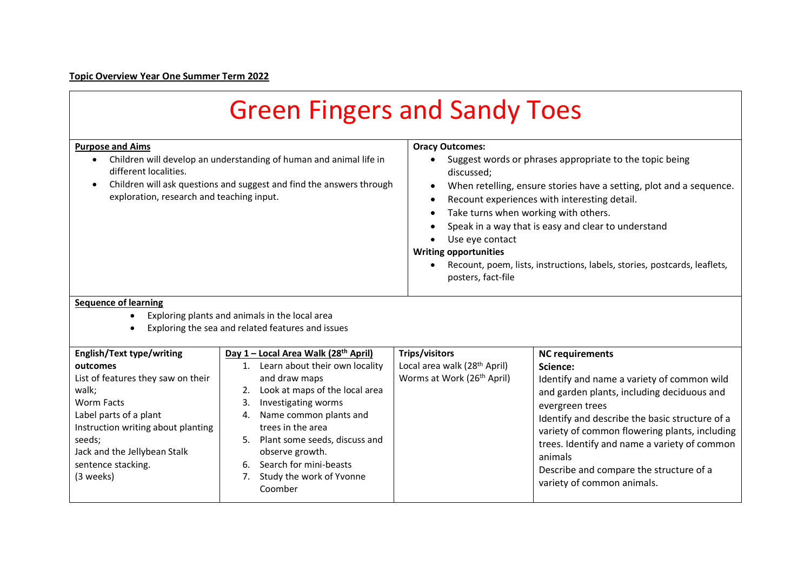## **Topic Overview Year One Summer Term 2022**

 $\blacksquare$ 

| <b>Green Fingers and Sandy Toes</b>                                                                                                                                                                                                                      |                                                                                                                                                                                                                                                                                                                                                                   |                                                                                                                                                                                                                                                                                                                                                                                                                                                                                          |                                                                                                                                                                                                                                                                                                                                                                                          |  |  |  |
|----------------------------------------------------------------------------------------------------------------------------------------------------------------------------------------------------------------------------------------------------------|-------------------------------------------------------------------------------------------------------------------------------------------------------------------------------------------------------------------------------------------------------------------------------------------------------------------------------------------------------------------|------------------------------------------------------------------------------------------------------------------------------------------------------------------------------------------------------------------------------------------------------------------------------------------------------------------------------------------------------------------------------------------------------------------------------------------------------------------------------------------|------------------------------------------------------------------------------------------------------------------------------------------------------------------------------------------------------------------------------------------------------------------------------------------------------------------------------------------------------------------------------------------|--|--|--|
| <b>Purpose and Aims</b><br>Children will develop an understanding of human and animal life in<br>$\bullet$<br>different localities.<br>Children will ask questions and suggest and find the answers through<br>exploration, research and teaching input. |                                                                                                                                                                                                                                                                                                                                                                   | <b>Oracy Outcomes:</b><br>Suggest words or phrases appropriate to the topic being<br>$\bullet$<br>discussed;<br>When retelling, ensure stories have a setting, plot and a sequence.<br>Recount experiences with interesting detail.<br>Take turns when working with others.<br>Speak in a way that is easy and clear to understand<br>Use eye contact<br><b>Writing opportunities</b><br>Recount, poem, lists, instructions, labels, stories, postcards, leaflets,<br>posters, fact-file |                                                                                                                                                                                                                                                                                                                                                                                          |  |  |  |
| <b>Sequence of learning</b><br>Exploring plants and animals in the local area<br>$\bullet$<br>Exploring the sea and related features and issues                                                                                                          |                                                                                                                                                                                                                                                                                                                                                                   |                                                                                                                                                                                                                                                                                                                                                                                                                                                                                          |                                                                                                                                                                                                                                                                                                                                                                                          |  |  |  |
| <b>English/Text type/writing</b><br>outcomes<br>List of features they saw on their<br>walk;<br>Worm Facts<br>Label parts of a plant<br>Instruction writing about planting<br>seeds;<br>Jack and the Jellybean Stalk<br>sentence stacking.<br>(3 weeks)   | Day 1 - Local Area Walk (28 <sup>th</sup> April)<br>1. Learn about their own locality<br>and draw maps<br>Look at maps of the local area<br>2.<br>3.<br>Investigating worms<br>Name common plants and<br>4.<br>trees in the area<br>Plant some seeds, discuss and<br>observe growth.<br>Search for mini-beasts<br>6.<br>Study the work of Yvonne<br>7.<br>Coomber | <b>Trips/visitors</b><br>Local area walk (28 <sup>th</sup> April)<br>Worms at Work (26 <sup>th</sup> April)                                                                                                                                                                                                                                                                                                                                                                              | <b>NC requirements</b><br>Science:<br>Identify and name a variety of common wild<br>and garden plants, including deciduous and<br>evergreen trees<br>Identify and describe the basic structure of a<br>variety of common flowering plants, including<br>trees. Identify and name a variety of common<br>animals<br>Describe and compare the structure of a<br>variety of common animals. |  |  |  |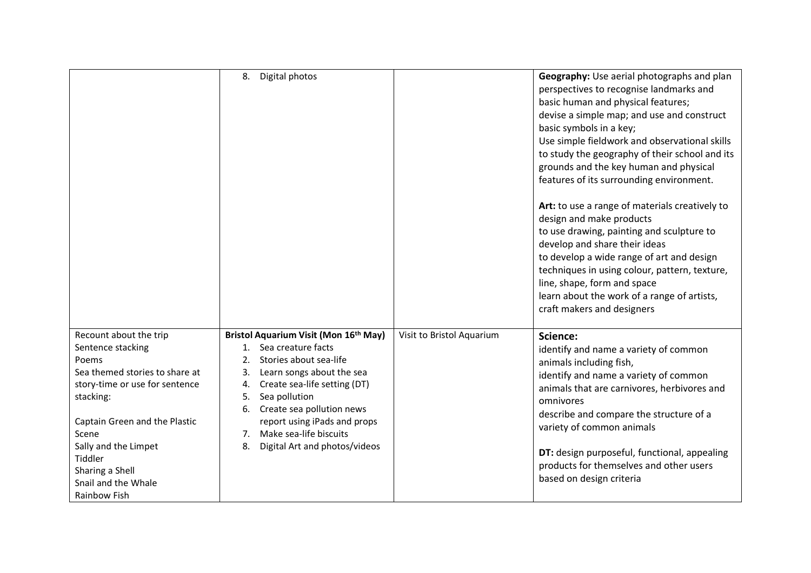|                                                                                                                                                                                                                                                                              | 8.<br>Digital photos                                                                                                                                                                                                                                                                                                                        |                           | Geography: Use aerial photographs and plan<br>perspectives to recognise landmarks and<br>basic human and physical features;<br>devise a simple map; and use and construct<br>basic symbols in a key;<br>Use simple fieldwork and observational skills<br>to study the geography of their school and its<br>grounds and the key human and physical<br>features of its surrounding environment.<br>Art: to use a range of materials creatively to<br>design and make products<br>to use drawing, painting and sculpture to<br>develop and share their ideas<br>to develop a wide range of art and design<br>techniques in using colour, pattern, texture,<br>line, shape, form and space<br>learn about the work of a range of artists,<br>craft makers and designers |
|------------------------------------------------------------------------------------------------------------------------------------------------------------------------------------------------------------------------------------------------------------------------------|---------------------------------------------------------------------------------------------------------------------------------------------------------------------------------------------------------------------------------------------------------------------------------------------------------------------------------------------|---------------------------|---------------------------------------------------------------------------------------------------------------------------------------------------------------------------------------------------------------------------------------------------------------------------------------------------------------------------------------------------------------------------------------------------------------------------------------------------------------------------------------------------------------------------------------------------------------------------------------------------------------------------------------------------------------------------------------------------------------------------------------------------------------------|
| Recount about the trip<br>Sentence stacking<br>Poems<br>Sea themed stories to share at<br>story-time or use for sentence<br>stacking:<br>Captain Green and the Plastic<br>Scene<br>Sally and the Limpet<br>Tiddler<br>Sharing a Shell<br>Snail and the Whale<br>Rainbow Fish | Bristol Aquarium Visit (Mon 16th May)<br>Sea creature facts<br>1.<br>Stories about sea-life<br>2.<br>Learn songs about the sea<br>3.<br>Create sea-life setting (DT)<br>4.<br>Sea pollution<br>5.<br>Create sea pollution news<br>6.<br>report using iPads and props<br>Make sea-life biscuits<br>7.<br>Digital Art and photos/videos<br>8. | Visit to Bristol Aquarium | Science:<br>identify and name a variety of common<br>animals including fish,<br>identify and name a variety of common<br>animals that are carnivores, herbivores and<br>omnivores<br>describe and compare the structure of a<br>variety of common animals<br>DT: design purposeful, functional, appealing<br>products for themselves and other users<br>based on design criteria                                                                                                                                                                                                                                                                                                                                                                                    |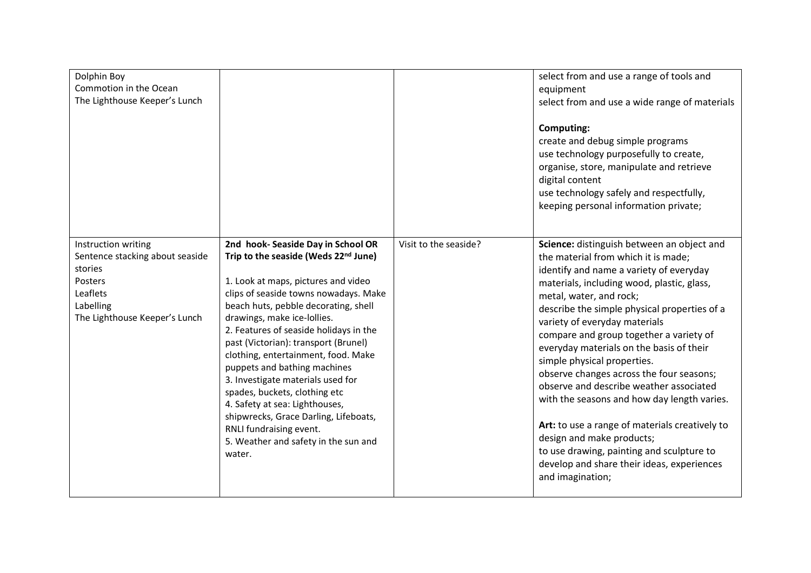| Dolphin Boy<br>Commotion in the Ocean<br>The Lighthouse Keeper's Lunch                                                                 |                                                                                                                                                                                                                                                                                                                                                                                                                                                                                                                                                                                                                          |                       | select from and use a range of tools and<br>equipment<br>select from and use a wide range of materials<br>Computing:<br>create and debug simple programs<br>use technology purposefully to create,<br>organise, store, manipulate and retrieve<br>digital content<br>use technology safely and respectfully,<br>keeping personal information private;                                                                                                                                                                                                                                                                                                                                                                                            |
|----------------------------------------------------------------------------------------------------------------------------------------|--------------------------------------------------------------------------------------------------------------------------------------------------------------------------------------------------------------------------------------------------------------------------------------------------------------------------------------------------------------------------------------------------------------------------------------------------------------------------------------------------------------------------------------------------------------------------------------------------------------------------|-----------------------|--------------------------------------------------------------------------------------------------------------------------------------------------------------------------------------------------------------------------------------------------------------------------------------------------------------------------------------------------------------------------------------------------------------------------------------------------------------------------------------------------------------------------------------------------------------------------------------------------------------------------------------------------------------------------------------------------------------------------------------------------|
| Instruction writing<br>Sentence stacking about seaside<br>stories<br>Posters<br>Leaflets<br>Labelling<br>The Lighthouse Keeper's Lunch | 2nd hook- Seaside Day in School OR<br>Trip to the seaside (Weds 22nd June)<br>1. Look at maps, pictures and video<br>clips of seaside towns nowadays. Make<br>beach huts, pebble decorating, shell<br>drawings, make ice-lollies.<br>2. Features of seaside holidays in the<br>past (Victorian): transport (Brunel)<br>clothing, entertainment, food. Make<br>puppets and bathing machines<br>3. Investigate materials used for<br>spades, buckets, clothing etc<br>4. Safety at sea: Lighthouses,<br>shipwrecks, Grace Darling, Lifeboats,<br>RNLI fundraising event.<br>5. Weather and safety in the sun and<br>water. | Visit to the seaside? | Science: distinguish between an object and<br>the material from which it is made;<br>identify and name a variety of everyday<br>materials, including wood, plastic, glass,<br>metal, water, and rock;<br>describe the simple physical properties of a<br>variety of everyday materials<br>compare and group together a variety of<br>everyday materials on the basis of their<br>simple physical properties.<br>observe changes across the four seasons;<br>observe and describe weather associated<br>with the seasons and how day length varies.<br>Art: to use a range of materials creatively to<br>design and make products;<br>to use drawing, painting and sculpture to<br>develop and share their ideas, experiences<br>and imagination; |